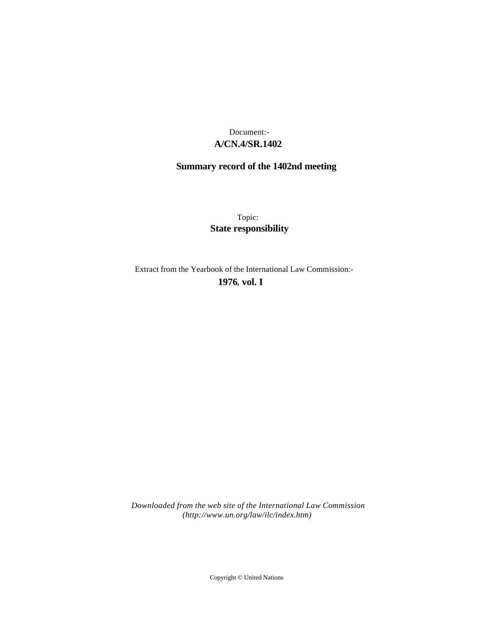# **A/CN.4/SR.1402** Document:-

# **Summary record of the 1402nd meeting**

Topic: **State responsibility**

Extract from the Yearbook of the International Law Commission:-

**1976** , **vol. I**

*Downloaded from the web site of the International Law Commission (http://www.un.org/law/ilc/index.htm)*

Copyright © United Nations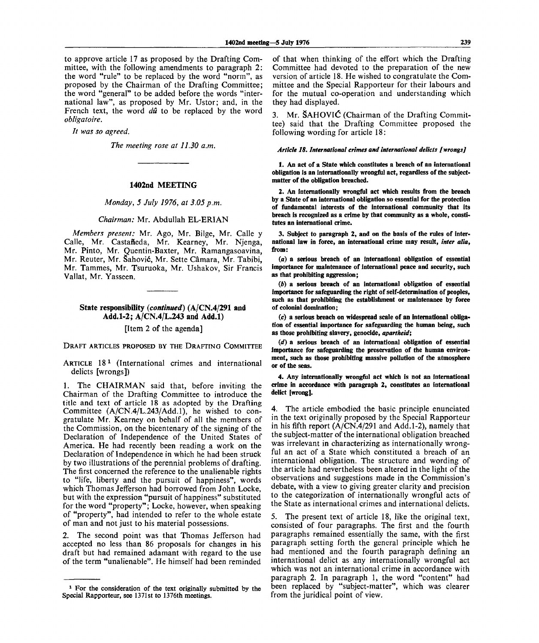to approve article 17 as proposed by the Drafting Committee, with the following amendments to paragraph 2: the word "rule" to be replaced by the word "norm", as proposed by the Chairman of the Drafting Committee; the word "general" to be added before the words "international law", as proposed by Mr. Ustor; and, in the French text, the word *dû* to be replaced by the word *obligatoire.*

*It was so agreed.*

*The meeting rose at 11.30 a.m.*

### **1402nd MEETING**

*Monday, 5 July 1976, at 3.05 p.m.*

## *Chairman:* Mr. Abdullah EL-ERIAN

*Members present:* Mr. Ago, Mr. Bilge, Mr. Calle y Calle, Mr. Castafieda, Mr. Kearney, Mr. Njenga, Mr. Pinto, Mr. Quentin-Baxter, Mr. Ramangasoavina, Mr. Reuter, Mr. Sahovic, Mr. Sette Camara, Mr. Tabibi, Mr. Tammes, Mr. Tsuruoka, Mr. Ushakov, Sir Francis Vallat, Mr. Yasseen.

# **State responsibility** *{continued)* **(A/CN.4/291 and Add.1-2; A/CN.4/L.243 and Add.l)**

[Item 2 of the agenda]

DRAFT ARTICLES PROPOSED BY THE DRAFTING COMMITTEE

ARTICLE 18<sup>1</sup> (International crimes and international delicts [wrongs])

1. The CHAIRMAN said that, before inviting the Chairman of the Drafting Committee to introduce the title and text of article 18 as adopted by the Drafting Committee (A/CN.4/L.243/Add.l), he wished to congratulate Mr. Kearney on behalf of all the members of the Commission, on the bicentenary of the signing of the Declaration of Independence of the United States of America. He had recently been reading a work on the Declaration of Independence in which he had been struck by two illustrations of the perennial problems of drafting. The first concerned the reference to the unalienable rights to "life, liberty and the pursuit of happiness", words which Thomas Jefferson had borrowed from John Locke, but with the expression "pursuit of happiness" substituted for the word "property"; Locke, however, when speaking of "property", had intended to refer to the whole estate of man and not just to his material possessions.

2. The second point was that Thomas Jefferson had accepted no less than 86 proposals for changes in his draft but had remained adamant with regard to the use of the term "unalienable". He himself had been reminded

**of that when thinking of the effort which the Drafting Committee had devoted to the preparation of the new version of article 18. He wished to congratulate the Committee and the Special Rapporteur for their labours and for the mutual co-operation and understanding which they had displayed.**

3. Mr. **SAHOVIC** (Chairman of the Drafting Commit**tee) said that the Drafting Committee proposed the following wording for article 18:**

#### *Article 18. International crimes and international delicts [wrongs]*

**1. An act of a State which constitutes a breach of an international obligation is an internationally wrongful act, regardless of the subjectmatter of the obligation breached.**

**2. An internationally wrongful act which results from the breach by a State of an international obligation so essential for the protection of fundamental interests of the international community that its breach is recognized as a crime by that community as a whole, constitutes an international crime.**

**3. Subject to paragraph 2, and on the basis of the rules of international law in force, an international crime may result,** *inter alia,* **from:**

**(a) a serious breach of an international obligation of essential importance for maintenance of international peace and security, such as that prohibiting aggression;**

*(b)* **a serious breach of an international obligation of essential importance for safeguarding the right of self-determination of peoples, such as that prohibiting the establishment or maintenance by force of colonial domination;**

**(c) a serious breach on widespread scale of an international obligation of essential importance for safeguarding the human being, such as those prohibiting slavery, genocide,** *apartheid;*

*(d)* **a serious breach of an international obligation of essential importance for safeguarding the preservation of the human environment, such as those prohibiting massive pollution of the atmosphere or of the seas.**

**4. Any internationally wrongful act which is not an international crime in accordance with paragraph 2, constitutes an international delict [wrong].**

4. The article embodied the basic principle enunciated in the text originally proposed by the Special Rapporteur in his fifth report (A/CN.4/291 and Add.1-2), namely that the subject-matter of the international obligation breached was irrelevant in characterizing as internationally wrongful an act of a State which constituted a breach of an international obligation. The structure and wording of the article had nevertheless been altered in the light of the observations and suggestions made in the Commission's debate, with a view to giving greater clarity and precision to the categorization of internationally wrongful acts of the State as international crimes and international delicts.

5. The present text of article 18, like the original text, consisted of four paragraphs. The first and the fourth paragraphs remained essentially the same, with the first paragraph setting forth the general principle which he had mentioned and the fourth paragraph defining an international delict as any internationally wrongful act which was not an international crime in accordance with paragraph 2. In paragraph 1, the word "content" had been replaced by "subject-matter", which was clearer from the juridical point of view.

**<sup>1</sup> For the consideration of the text originally submitted by the Special Rapporteur, see 1371st to 1376th meetings.**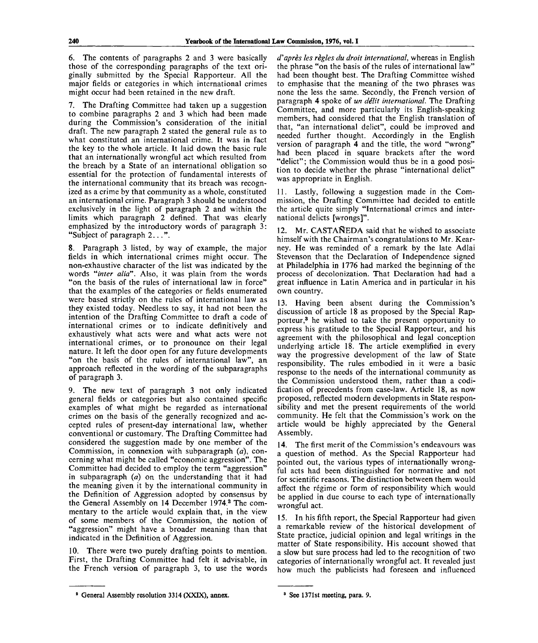6. The contents of paragraphs 2 and 3 were basically those of the corresponding paragraphs of the text originally submitted by the Special Rapporteur. All the major fields or categories in which international crimes might occur had been retained in the new draft.

7. The Drafting Committee had taken up a suggestion to combine paragraphs 2 and 3 which had been made during the Commission's consideration of the initial draft. The new paragraph 2 stated the general rule as to what constituted an international crime. It was in fact the key to the whole article. It laid down the basic rule that an internationally wrongful act which resulted from the breach by a State of an international obligation so essential for the protection of fundamental interests of the international community that its breach was recognized as a crime by that community as a whole, constituted an international crime. Paragraph 3 should be understood exclusively in the light of paragraph 2 and within the limits which paragraph 2 defined. That was clearly emphasized by the introductory words of paragraph 3: "Subject of paragraph 2...".

8. Paragraph 3 listed, by way of example, the major fields in which international crimes might occur. The non-exhaustive character of the list was indicated by the words *"inter alia".* Also, it was plain from the words "on the basis of the rules of international law in force" that the examples of the categories or fields enumerated were based strictly on the rules of international law as they existed today. Needless to say, it had not been the intention of the Drafting Committee to draft a code of international crimes or to indicate definitively and exhaustively what acts were and what acts were not international crimes, or to pronounce on their legal nature. It left the door open for any future developments "on the basis of the rules of international law", an approach reflected in the wording of the subparagraphs of paragraph 3.

9. The new text of paragraph 3 not only indicated general fields or categories but also contained specific examples of what might be regarded as international crimes on the basis of the generally recognized and accepted rules of present-day international law, whether conventional or customary. The Drafting Committee had considered the suggestion made by one member of the Commission, in connexion with subparagraph *(a),* concerning what might be called "economic aggression". The Committee had decided to employ the term "aggression" in subparagraph *(a)* on the understanding that it had the meaning given it by the international community in the Definition of Aggression adopted by consensus by the General Assembly on 14 December 1974.<sup>2</sup> The commentary to the article would explain that, in the view of some members of the Commission, the notion of "aggression" might have a broader meaning than that indicated in the Definition of Aggression.

10. There were two purely drafting points to mention. First, the Drafting Committee had felt it advisable, in the French version of paragraph 3, to use the words

*d'apres les regies du droit international,* whereas in English the phrase "on the basis of the rules of international law" had been thought best. The Drafting Committee wished to emphasise that the meaning of the two phrases was none the less the same. Secondly, the French version of paragraph 4 spoke of *un delit international.* The Drafting Committee, and more particularly its English-speaking members, had considered that the English translation of that, "an international delict", could be improved and needed further thought. Accordingly in the English version of paragraph 4 and the title, the word "wrong" had been placed in square brackets after the word "delict"; the Commission would thus be in a good position to decide whether the phrase "international delict" was appropriate in English.

11. Lastly, following a suggestion made in the Commission, the Drafting Committee had decided to entitle the article quite simply "International crimes and international delicts [wrongs]".

12. Mr. CASTAÑEDA said that he wished to associate himself with the Chairman's congratulations to Mr. Kearney. He was reminded of a remark by the late Adlai Stevenson that the Declaration of Independence signed at Philadelphia in 1776 had marked the beginning of the process of decolonization. That Declaration had had a great influence in Latin America and in particular in his own country.

13. Having been absent during the Commission's discussion of article 18 as proposed by the Special Rapporteur,<sup>3</sup> he wished to take the present opportunity to express his gratitude to the Special Rapporteur, and his agreement with the philosophical and legal conception underlying article 18. The article exemplified in every way the progressive development of the law of State responsibility. The rules embodied in it were a basic response to the needs of the international community as the Commission understood them, rather than a codification of precedents from case-law. Article 18, as now proposed, reflected modern developments in State responsibility and met the present requirements of the world community. He felt that the Commission's work on the article would be highly appreciated by the General Assembly.

14. The first merit of the Commission's endeavours was a question of method. As the Special Rapporteur had pointed out, the various types of internationally wrongful acts had been distinguished for normative and not for scientific reasons. The distinction between them would affect the régime or form of responsibility which would be applied in due course to each type of internationally wrongful act.

15. In his fifth report, the Special Rapporteur had given a remarkable review of the historical development of State practice, judicial opinion and legal writings in the matter of State responsibility. His account showed that a slow but sure process had led to the recognition of two categories of internationally wrongful act. It revealed just how much the publicists had foreseen and influenced

<sup>&</sup>lt;sup>2</sup> General Assembly resolution 3314 (XXIX), annex.

<sup>3</sup> See 1371st meeting, para. 9.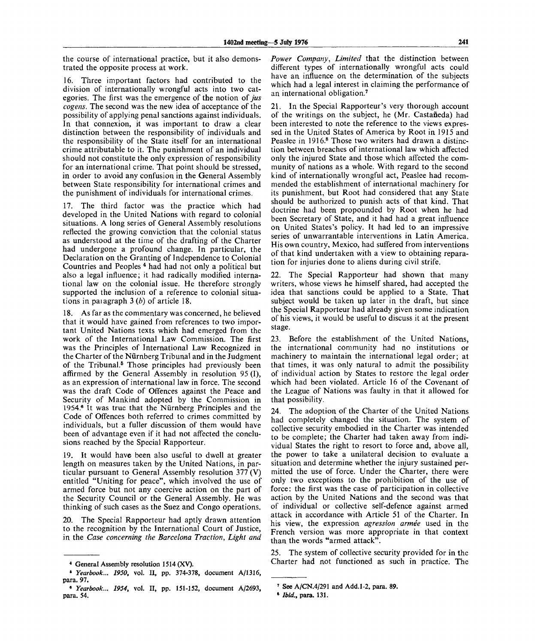the course of international practice, but it also demonstrated the opposite process at work.

16. Three important factors had contributed to the division of internationally wrongful acts into two categories. The first was the emergence of the notion *of jus cogens.* The second was the new idea of acceptance of the possibility of applying penal sanctions against individuals. In that connexion, it was important to draw a clear distinction between the responsibility of individuals and the responsibility of the State itself for an international crime attributable to it. The punishment of an individual should not constitute the only expression of responsibility for an international crime. That point should be stressed, in order to avoid any confusion in the General Assembly between State responsibility for international crimes and the punishment of individuals for international crimes.

17. The third factor was the practice which had developed in the United Nations with regard to colonial situations. A long series of General Assembly resolutions reflected the growing conviction that the colonial status as understood at the time of the drafting of the Charter had undergone a profound change. In particular, the Declaration on the Granting of Independence to Colonial Countries and Peoples <sup>4</sup> had had not only a political but also a legal influence; it had radically modified international law on the colonial issue. He therefore strongly supported the inclusion of a reference to colonial situations in paiagraph 3 *(b)* of article 18.

18. As far as the commentary was concerned, he believed that it would have gained from references to two important United Nations texts which had emerged from the work of the International Law Commission. The first was the Principles of International Law Recognized in the Charter of the Nürnberg Tribunal and in the Judgment of the Tribunal.<sup>5</sup> Those principles had previously been affirmed by the General Assembly in resolution 95 (I), as an expression of international law in force. The second was the draft Code of Offences against the Peace and Security of Mankind adopted by the Commission in 1954.<sup>6</sup> It was true that the Niirnberg Principles and the Code of Offences both referred to crimes committed by individuals, but a fuller discussion of them would have been of advantage even if it had not affected the conclusions reached by the Special Rapporteur.

19. It would have been also useful to dwell at greater length on measures taken by the United Nations, in particular pursuant to General Assembly resolution 377 (V) entitled "Uniting for peace", which involved the use of armed force but not any coercive action on the part of the Security Council or the General Assembly. He was thinking of such cases as the Suez and Congo operations.

20. The Special Rapporteur had aptly drawn attention to the recognition by the International Court of Justice, in the *Case concerning the Barcelona Traction, Light and* *Power Company, Limited* that the distinction between different types of internationally wrongful acts could have an influence on the determination of the subjects which had a legal interest in claiming the performance of an international obligation.<sup>7</sup>

21. In the Special Rapporteur's very thorough account of the writings on the subject, he (Mr. Castañeda) had been interested to note the reference to the views expressed in the United States of America by Root in 1915 and Peaslee in 1916.<sup>8</sup> Those two writers had drawn a distinction between breaches of international law which affected only the injured State and those which affected the community of nations as a whole. With regard to the second kind of internationally wrongful act, Peaslee had recommended the establishment of international machinery for its punishment, but Root had considered that any State should be authorized to punish acts of that kind. That doctrine had been propounded by Root when he had been Secretary of State, and it had had a great influence on United States's policy. It had led to an impressive series of unwarrantable interventions in Latin America. His own country, Mexico, had suffered from interventions of that kind undertaken with a view to obtaining reparation for injuries done to aliens during civil strife.

22. The Special Rapporteur had shown that many writers, whose views he himself shared, had accepted the idea that sanctions could be applied to a State. That subject would be taken up later in the draft, but since the Special Rapporteur had already given some indication of his views, it would be useful to discuss it at the present stage.

23. Before the establishment of the United Nations, the international community had no institutions or machinery to maintain the international legal order; at that times, it was only natural to admit the possibility of individual action by States to restore the legal order which had been violated. Article 16 of the Covenant of the League of Nations was faulty in that it allowed for that possibility.

24. The adoption of the Charter of the United Nations had completely changed the situation. The system of collective security embodied in the Charter was intended to be complete; the Charter had taken away from individual States the right to resort to force and, above all, the power to take a unilateral decision to evaluate a situation and determine whether the injury sustained permitted the use of force. Under the Charter, there were only two exceptions to the prohibition of the use of force: the first was the case of participation in collective action by the United Nations and the second was that of individual or collective self-defence against armed attack in accordance with Article 51 of the Charter. In his view, the expression *agression armee* used in the French version was more appropriate in that context than the words "armed attack".

25. The system of collective security provided for in the Charter had not functioned as such in practice. The

<sup>4</sup> General Assembly resolution 1514 (XV).

<sup>6</sup>  *Yearbook... 1950,* vol. **II,** pp. 374-378, document A/1316, para. 97.

<sup>8</sup>  *Yearbook... 1954,* vol. **II,** pp. 151-152, document A/2693, para. 54.

<sup>7</sup> See A/CN.4/291 and Add.1-2, para. **89.**

<sup>8</sup>  *Ibid.,* **para. 131.**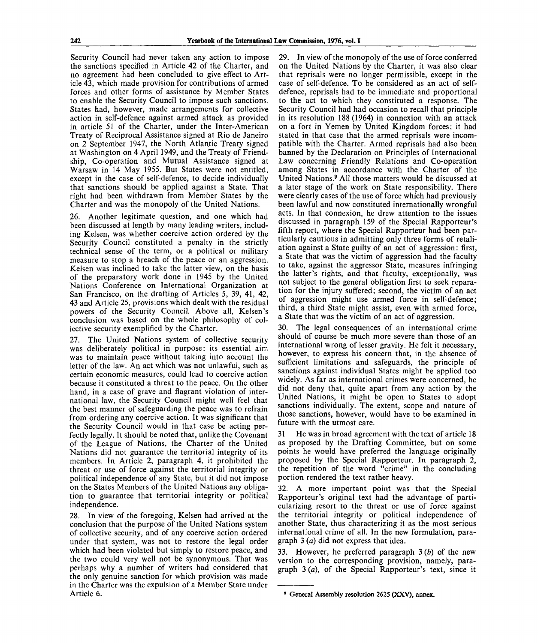Security Council had never taken any action to impose the sanctions specified in Article 42 of the Charter, and no agreement had been concluded to give effect to Article 43, which made provision for contributions of armed forces and other forms of assistance by Member States to enable the Security Council to impose such sanctions. States had, however, made arrangements for collective action in self-defence against armed attack as provided in article 51 of the Charter, under the Inter-American Treaty of Reciprocal Assistance signed at Rio de Janeiro on 2 September 1947, the North Atlantic Treaty signed at Washington on 4 April 1949, and the Treaty of Friendship, Co-operation and Mutual Assistance signed at Warsaw in 14 May 1955. But States were not entitled, except in the case of self-defence, to decide individually that sanctions should be applied against a State. That right had been withdrawn from Member States by the Charter and was the monopoly of the United Nations.

26. Another legitimate question, and one which had been discussed at length by many leading writers, including Kelsen, was whether coercive action ordered by the Security Council constituted a penalty in the strictly technical sense of the term, or a political or military measure to stop a breach of the peace or an aggression. Kelsen was inclined to take the latter view, on the basis of the preparatory work done in 1945 by the United Nations Conference on International Organization at San Francisco, on the drafting of Articles 5, 39, 41, 42, 43 and Article 25, provisions which dealt with the residual powers of the Security Council. Above all, Kelsen's conclusion was based on the whole philosophy of collective security exemplified by the Charter.

27. The United Nations system of collective security was deliberately political in purpose: its essential aim was to maintain peace without taking into account the letter of the law. An act which was not unlawful, such as certain economic measures, could lead to coercive action because it constituted a threat to the peace. On the other hand, in a case of grave and flagrant violation of international law, the Security Council might well feel that the best manner of safeguarding the peace was to refrain from ordering any coercive action. It was significant that the Security Council would in that case be acting perfectly legally. It should be noted that, unlike the Covenant of the League of Nations, the Charter of the United Nations did not guarantee the territorial integrity of its members. In Article 2, paragraph 4, it prohibited the threat or use of force against the territorial integrity or political independence of any State, but it did not impose on the States Members of the United Nations any obligation to guarantee that territorial integrity or political independence.

28. In view of the foregoing, Kelsen had arrived at the conclusion that the purpose of the United Nations system of collective security, and of any coercive action ordered under that system, was not to restore the legal order which had been violated but simply to restore peace, and the two could very well not be synonymous. That was perhaps why a number of writers had considered that the only genuine sanction for which provision was made in the Charter was the expulsion of a Member State under Article 6.

29. In view of the monopoly of the use of force conferred on the United Nations by the Charter, it was also clear that reprisals were no longer permissible, except in the case of self-defence. To be considered as an act of selfdefence, reprisals had to be immediate and proportional to the act to which they constituted a response. The Security Council had had occasion to recall that principle in its resolution 188 (1964) in connexion with an attack on a fort in Yemen by United Kingdom forces; it had stated in that case that the armed reprisals were incompatible with the Charter. Armed reprisals had also been banned by the Declaration on Principles of International Law concerning Friendly Relations and Co-operation among States in accordance with the Charter of the United Nations.<sup>9</sup> All those matters would be discussed at a later stage of the work on State responsibility. There were clearly cases of the use of force which had previously been lawful and now constituted internationally wrongful acts. In that connexion, he drew attention to the issues discussed in paragraph 159 of the Special Rapporteur's fifth report, where the Special Rapporteur had been particularly cautious in admitting only three forms of retaliation against a State guilty of an act of aggression: first, a State that was the victim of aggression had the faculty to take, against the aggressor State, measures infringing the latter's rights, and that faculty, exceptionally, was not subject to the general obligation first to seek reparation for the injury suffered; second, the victim of an act of aggression might use armed force in self-defence; third, a third State might assist, even with armed force, a State that was the victim of an act of aggression.

30. The legal consequences of an international crime should of course be much more severe than those of an international wrong of lesser gravity. He felt it necessary, however, to express his concern that, in the absence of sufficient limitations and safeguards, the principle of sanctions against individual States might be applied too widely. As far as international crimes were concerned, he did not deny that, quite apart from any action by the United Nations, it might be open to States to adopt sanctions individually. The extent, scope and nature of those sanctions, however, would have to be examined in future with the utmost care.

31 He was in broad agreement with the text of article 18 as proposed by the Drafting Committee, but on some points he would have preferred the language originally proposed by the Special Rapporteur. In paragraph 2, the repetition of the word "crime" in the concluding portion rendered the text rather heavy.

32. A more important point was that the Special Rapporteur's original text had the advantage of particularizing resort to the threat or use of force against the territorial integrity or political independence of another State, thus characterizing it as the most serious international crime of all. In the new formulation, paragraph 3 *(a)* did not express that idea.

33. However, he preferred paragraph 3 *(b)* of the new version to the corresponding provision, namely, paragraph 3 *(a),* of the Special Rapporteur's text, since it

General Assembly resolution 2625 (XXV), annex.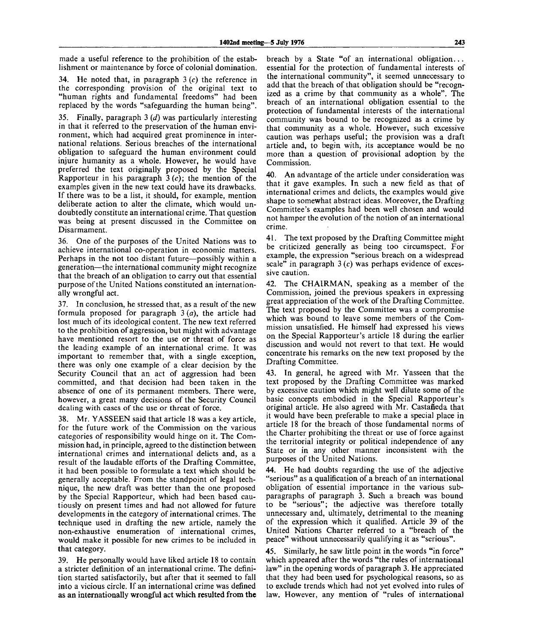made a useful reference to the prohibition of the establishment or maintenance by force of colonial domination.

34. He noted that, in paragraph  $3(c)$  the reference in the corresponding provision of the original text to "human rights and fundamental freedoms" had been replaced by the words "safeguarding the human being".

35. Finally, paragraph 3 *(d)* was particularly interesting in that it referred to the preservation of the human environment, which had acquired great prominence in international relations. Serious breaches of the international obligation to safeguard the human environment could injure humanity as a whole. However, he would have preferred the text originally proposed by the Special Rapporteur in his paragraph  $3(c)$ ; the mention of the examples given in the new text could have its drawbacks. If there was to be a list, it should, for example, mention deliberate action to alter the climate, which would undoubtedly constitute an international crime. That question was being at present discussed in the Committee on Disarmament.

36. One of the purposes of the United Nations was to achieve international co-operation in economic matters. Perhaps in the not too distant future—possibly within a generation—the international community might recognize that the breach of an obligation to carry out that essential purpose of the United Nations constituted an internationally wrongful act.

37. In conclusion, he stressed that, as a result of the new formula proposed for paragraph 3 *(a),* the article had lost much of its ideological content. The new text referred to the prohibition of aggression, but might with advantage have mentioned resort to the use or threat of force as the leading example of an international crime. It was important to remember that, with a single exception, there was only one example of a clear decision by the Security Council that an act of aggression had been committed, and that decision had been taken in the absence of one of its permanent members. There were, however, a great many decisions of the Security Council dealing with cases of the use or threat of force.

38. Mr. YASSEEN said that article 18 was a key article, for the future work of the Commission on the various categories of responsibility would hinge on it. The Commission had, in principle, agreed to the distinction between international crimes and international delicts and, as a result of the laudable efforts of the Drafting Committee, it had been possible to formulate a text which should be generally acceptable. From the standpoint of legal technique, the new draft was better than the one proposed by the Special Rapporteur, which had been based cautiously on present times and had not allowed for future developments in the category of international crimes. The technique used in drafting the new article, namely the non-exhaustive enumeration of international crimes, would make it possible for new crimes to be included in that category.

39. He personally would have liked article 18 to contain a stricter definition of an international crime. The definition started satisfactorily, but after that it seemed to fall into a vicious circle. If an international crime was defined as an internationally wrongful act which resulted from the

breach by a State "of an international obligation... essential for the protection of fundamental interests of the international community", it seemed unnecessary to add that the breach of that obligation should be "recognized as a crime by that community as a whole". The breach of an international obligation essential to the protection of fundamental interests of the international community was bound to be recognized as a crime by that community as a whole. However, such excessive caution was perhaps useful; the provision was a draft article and, to begin with, its acceptance would be no more than a question of provisional adoption by the Commission.

40. An advantage of the article under consideration was that it gave examples. In such a new field as that of international crimes and delicts, the examples would give shape to somewhat abstract ideas. Moreover, the Drafting Committee's examples had been well chosen and would not hamper the evolution of the notion of an international crime.

41. The text proposed by the Drafting Committee might be criticized generally as being too circumspect. For example, the expression "serious breach on a widespread scale" in paragraph  $3(c)$  was perhaps evidence of excessive caution.

42. The CHAIRMAN, speaking as a member of the Commission, joined the previous speakers in expressing great appreciation of the work of the Drafting Committee. The text proposed by the Committee was a compromise which was bound to leave some members of the Commission unsatisfied. He himself had expressed his views on the Special Rapporteur's article 18 during the earlier discussion and would not revert to that text. He would concentrate his remarks on the new text proposed by the Drafting Committee.

43. In general, he agreed with Mr. Yasseen that the text proposed by the Drafting Committee was marked by excessive caution which might well dilute some of the basic concepts embodied in the Special Rapporteur's original article. He also agreed with Mr. Castañeda that it would have been preferable to make a special place in article 18 for the breach of those fundamental norms of the Charter prohibiting the threat or use of force against the territorial integrity or political independence of any State or in any other manner inconsistent with the purposes of the United Nations.

44. He had doubts regarding the use of the adjective "serious" as a qualification of a breach of an international obligation of essential importance in the various subparagraphs of paragraph 3. Such a breach was bound to be "serious"; the adjective was therefore totally unnecessary and, ultimately, detrimental to the meaning of the expression which it qualified. Article 39 of the United Nations Charter referred to a "breach of the peace" without unnecessarily qualifying it as "serious".

45. Similarly, he saw little point in the words "in force" which appeared after the words "the rules of international law" in the opening words of paragraph 3. He appreciated that they had been used for psychological reasons, so as to exclude trends which had not yet evolved into rules of law. However, any mention of "rules of international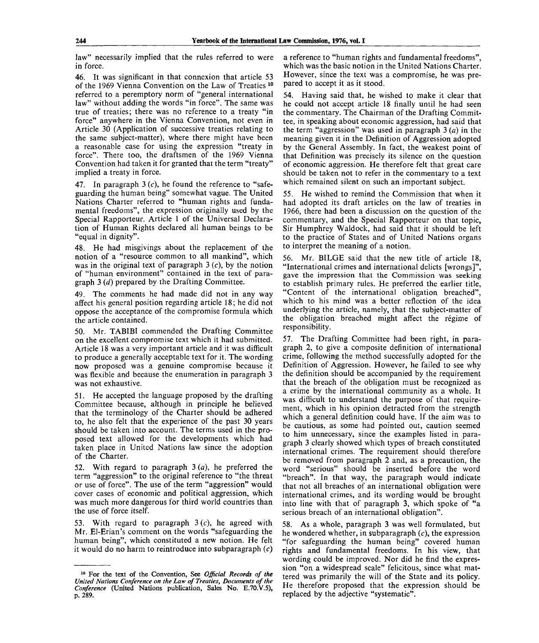law" necessarily implied that the rules referred to were in force.

46. It was significant in that connexion that article 53 of the 1969 Vienna Convention on the Law of Treaties<sup>10</sup> referred to a peremptory norm of "general international law" without adding the words "in force". The same was true of treaties; there was no reference to a treaty "in force" anywhere in the Vienna Convention, not even in Article 30 (Application of successive treaties relating to the same subject-matter), where there might have been a reasonable case for using the expression "treaty in force". There too, the draftsmen of the 1969 Vienna Convention had taken it for granted that the term "treaty" implied a treaty in force.

47. In paragraph  $3(c)$ , he found the reference to "safeguarding the human being" somewhat vague. The United Nations Charter referred to "human rights and fundamental freedoms", the expression originally used by the Special Rapporteur. Article 1 of the Universal Declaration of Human Rights declared all human beings to be "equal in dignity".

48. He had misgivings about the replacement of the notion of a "resource common to all mankind", which was in the original text of paragraph 3 *(c),* by the notion of "human environment" contained in the text of paragraph 3 *(d)* prepared by the Drafting Committee.

49. The comments he had made did not in any way affect his general position regarding article 18; he did not oppose the acceptance of the compromise formula which the article contained.

50. Mr. TAB1BI commended the Drafting Committee on the excellent compromise text which it had submitted. Article 18 was a very important article and it was difficult to produce a generally acceptable text for it. The wording now proposed was a genuine compromise because it was flexible and because the enumeration in paragraph 3 was not exhaustive.

51. He accepted the language proposed by the drafting Committee because, although in principle he believed that the terminology of the Charter should be adhered to, he also felt that the experience of the past 30 years should be taken into account. The terms used in the proposed text allowed for the developments which had taken place in United Nations law since the adoption of the Charter.

52. With regard to paragraph 3 *(a),* he preferred the term "aggression" to the original reference to "the threat or use of force". The use of the term "aggression" would cover cases of economic and political aggression, which was much more dangerous for third world countries than the use of force itself.

With regard to paragraph  $3 (c)$ , he agreed with Mr. El-Erian's comment on the words "safeguarding the human being", which constituted a new notion. He felt it would do no harm to reintroduce into subparagraph *(c)*

a reference to "human rights and fundamental freedoms", which was the basic notion in the United Nations Charter. However, since the text was a compromise, he was prepared to accept it as it stood.

54. Having said that, he wished to make it clear that he could not accept article 18 finally until he had seen the commentary. The Chairman of the Drafting Committee, in speaking about economic aggression, had said that the term "aggression" was used in paragraph 3 *(a)* in the meaning given it in the Definition of Aggression adopted by the General Assembly. In fact, the weakest point of that Definition was precisely its silence on the question of economic aggression. He therefore felt that great care should be taken not to refer in the commentary to a text which remained silent on such an important subject.

55. He wished to remind the Commission that when it had adopted its draft articles on the law of treaties in 1966, there had been a discussion on the question of the commentary, and the Special Rapporteur on that topic, Sir Humphrey Waldock, had said that it should be left to the practice of States and of United Nations organs to interpret the meaning of a notion.

56. Mr. BILGE said that the new title of article 18, "International crimes and international delicts [wrongs]", gave the impression that the Commission was seeking to establish primary rules. He preferred the earlier title, "Content of the international obligation breached", which to his mind was a better reflection of the idea underlying the article, namely, that the subject-matter of the obligation breached might affect the regime of responsibility.

57. The Drafting Committee had been right, in paragraph 2, to give a composite definition of international crime, following the method successfully adopted for the Definition of Aggression. However, he failed to see why the definition should be accompanied by the requirement that the breach of the obligation must be recognized as a crime by the international community as a whole. It was difficult to understand the purpose of that requirement, which in his opinion detracted from the strength which a general definition could have. If the aim was to be cautious, as some had pointed out, caution seemed to him unnecessary, since the examples listed in paragraph 3 clearly showed which types of breach constituted international crimes. The requirement should therefore be removed from paragraph  $\overline{2}$  and, as a precaution, the word "serious" should be inserted before the word "breach". In that way, the paragraph would indicate that not all breaches of an international obligation were international crimes, and its wording would be brought into line with that of paragraph 3, which spoke of "a serious breach of an international obligation".

58. As a whole, paragraph 3 was well formulated, but he wondered whether, in subparagraph  $(c)$ , the expression "for safeguarding the human being" covered human rights and fundamental freedoms. In his view, that wording could be improved. Nor did he find the expression "on a widespread scale" felicitous, since what mattered was primarily the will of the State and its policy. He therefore proposed that the expression should be replaced by the adjective "systematic".

<sup>10</sup> For the text of the Convention, See *Official Records of the United Nations Conference on the Law of Treaties, Documents of the Conference* (United Nations publication, Sales No. E.70.V.5), p. 289.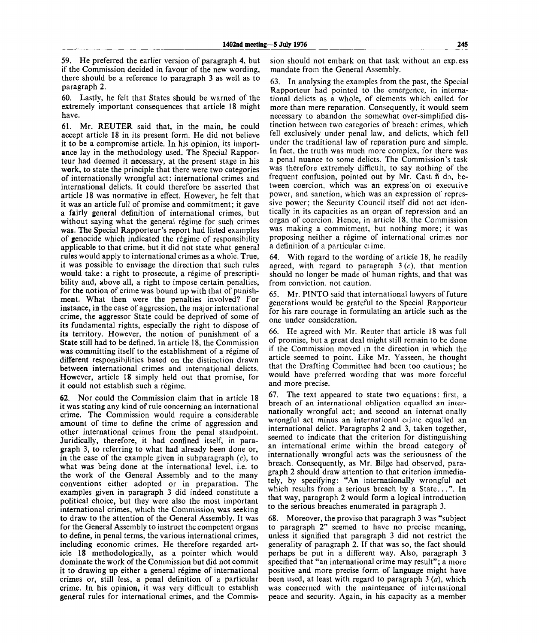59. He preferred the earlier version of paragraph 4, but if the Commission decided in favour of the new wording, there should be a reference to paragraph 3 as well as to paragraph 2.

60. Lastly, he felt that States should be warned of the extremely important consequences that article 18 might have.

61. Mr. REUTER said that, in the main, he could accept article 18 in its present form. He did not believe it to be a compromise article. In his opinion, its importance lay in the methodology used. The Special Rapporteur had deemed it necessary, at the present stage in his work, to state the principle that there were two categories of internationally wrongful act: international crimes and international delicts. It could therefore be asserted that article 18 was normative in effect. However, he felt that it was an article full of promise and commitment; it gave a fairly general definition of international crimes, but without saying what the general régime for such crimes was. The Special Rapporteur's report had listed examples of genocide which indicated the regime of responsibility applicable to that crime, but it did not state what general rules would apply to international crimes as a whole. True, it was possible to envisage the direction that such rules would take: a right to prosecute, a régime of prescriptibility and, above all, a right to impose certain penalties, for the notion of crime was bound up with that of punishment. What then were the penalties involved? For instance, in the case of aggression, the major international crime, the aggressor State could be deprived of some of its fundamental rights, especially the right to dispose of its territory. However, the notion of punishment of a State still had to be defined. In article 18, the Commission was committing itself to the establishment of a régime of different responsibilities based on the distinction drawn between international crimes and international delicts. However, article 18 simply held out that promise, for it could not establish such a régime.

62. Nor could the Commission claim that in article 18 it was stating any kind of rule concerning an international crime. The Commission would require a considerable amount of time to define the crime of aggression and other international crimes from the penal standpoint. Juridically, therefore, it had confined itself, in paragraph 3, to referring to what had already been done or, in the case of the example given in subparagraph  $(c)$ , to what was being done at the international level, i.e. to the work of the General Assembly and to the many conventions either adopted or in preparation. The examples given in paragraph 3 did indeed constitute a political choice, but they were also the most important international crimes, which the Commission was seeking to draw to the attention of the General Assembly. It was for the General Assembly to instruct the competent organs to define, in penal terms, the various international crimes, including economic crimes. He therefore regarded article 18 methodologically, as a pointer which would dominate the work of the Commission but did not commit it to drawing up either a general régime of international crimes or, still less, a penal definition of a particular crime. In his opinion, it was very difficult to establish general rules for international crimes, and the Commission should not embark on that task without an exp.ess mandate from the General Assembly.

63. In analysing the examples from the past, the Special Rapporteur had pointed to the emergence, in international delicts as a whole, of elements which called for more than mere reparation. Consequently, it would seem necessary to abandon the somewhat over-simplified distinction between two categories of breach: crimes, which fell exclusively under penal law, and delicts, which fell under the traditional law of reparation pure and simple. In fact, the truth was much more complex, for there was a penal nuance to some delicts. The Commission's task was therefore extremely difficult, to say nothing of the frequent confusion, pointed out by Mr. Cast:  $\tilde{n}$  da, between coercion, which was an expression of executive power, and sanction, which was an expression of repressive power; the Security Council itself did not act identically in its capacities as an organ of repression and an organ of coercion. Hence, in article 18, the Commission was making a commitment, but nothing more; it was proposing neither a regime of international crimes nor a definition of a particular ciime.

With regard to the wording of article 18, he readily agreed, with regard to paragraph 3 *(c),* that mention should no longer be made of human rights, and that was from conviction, not caution.

65. Mr. PINTO said that international lawyers of future generations would be grateful to the Special Rapporteur for his rare courage in formulating an article such as the one under consideration.

66. He agreed with Mr. Reuter that article 18 was full of promise, but a great deal might still remain to be done if the Commission moved in the direction in which the article seemed to point. Like Mr. Yasseen, he thought that the Drafting Committee had been too cautious; he would have preferred wording that was more forceful and more precise.

67. The text appeared to state two equations: first, a breach of an international obligation equalled an internationally wrongful act; and second an internat onally wrongful act minus an international ciime equalled an international delict. Paragraphs 2 and 3, taken together, seemed to indicate that the criterion for distinguishing an international crime within the broad category of internationally wrongful acts was the seriousness of the breach. Consequently, as Mr. Bilge had observed, paragraph 2 should draw attention to that criterion immediately, by specifying: "An internationally wrongful act which results from a serious breach by a State...". In that way, paragraph 2 would form a logical introduction to the serious breaches enumerated in paragraph 3.

68. Moreover, the proviso that paragraph 3 was "subject to paragraph 2" seemed to have no precise meaning, unless it signified that paragraph 3 did not restrict the generality of paragraph 2. If that was so, the fact should perhaps be put in a different way. Also, paragraph 3 specified that "an international crime may result"; a more positive and more precise form of language might have been used, at least with regard to paragraph 3 *(a),* which was concerned with the maintenance of international peace and security. Again, in his capacity as a member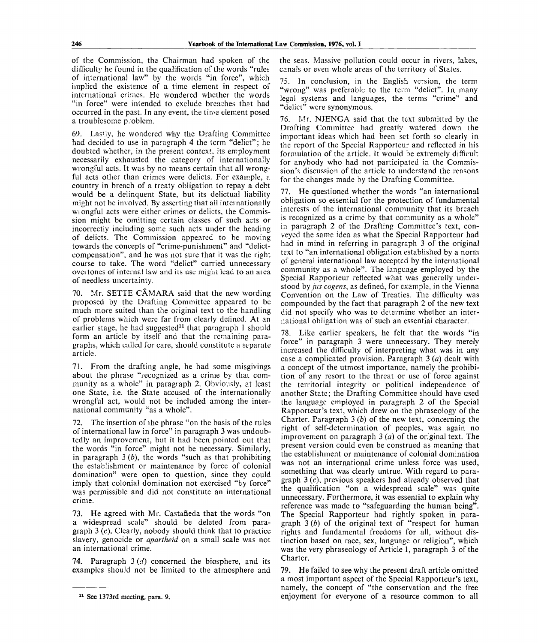of the Commission, the Chairman had spoken of the difficulty he found in the qualification of the words "rules of international law" by the words "in force", which implied the existence of a time element in respect of international crimes. He wondered whether the words "in force" were intended to exclude breaches that had occurred in the past. In any event, the time element posed a troublesome p/oblem.

69. Lastly, he wondered why the Drafting Committee had decided to use in paragraph 4 the term "delict"; he doubted whether, in the present context, its employment necessarily exhausted the category of internationally wrongful acts. It was by no means certain that all wrongful acts other than crimes were delicts. For example, a country in breach of a treaty obligation to repay a debt would be a delinquent State, but its delictual liability might not be involved. By asserting that all internationally wi ongful acts were either crimes or delicts, the Commission might be omitting certain classes of such acts or incorrectly including some such acts under the heading of delicts. The Commission appeared to be moving towards the concepts of "crime-punishment" and "delictcompensation", and he was not sure that it was the right course to take. The word "delict" carried unnecessary oveitones of internal law and its use might lead to an aiea of needless uncertainty.

70. Mr. SETTE CAMARA said that the new wording proposed by the Drafting Committee appeared to be much more suited than the original text to the handling of problems which were far from clearly defined. At an earlier stage, he had suggested<sup>11</sup> that paragraph 1 should form an article by itself and that the rcraaining paragraphs, which called for care, should constitute a separate article.

71. From the drafting angle, he had some misgivings about the phrase "recognized as a crime by that community as a whole" in paragraph 2. Obviously, at least one State, i.e. the State accused of the internationally wrongful act, would not be included among the international community "as a whole".

72. The insertion of the phrase "on the basis of the rules of international law in force" in paragraph 3 was undoubtedly an improvement, but it had been pointed out that the words "in force" might not be necessary. Similarly, in paragraph 3 *(b),* the words "such as that prohibiting the establishment or maintenance by force of colonial domination" were open to question, since they could imply that colonial domination not exercised "by force" was permissible and did not constitute an international crime.

73. He agreed with Mr. Casta**n**eda that the words "on a widespread scale" should be deleted from paragraph  $3(c)$ . Clearly, nobody should think that to practice slavery, genocide or *apartheid* on a small scale was not an international crime.

74. Paragraph 3 *(cl)* concerned the biosphere, and its examples should not be limited to the atmosphere and the seas. Massive pollution could occur in rivers, lakes, canals or even whole areas of the territory of States.

75. In conclusion, in the English version, the term "wrong" was preferable to the term "delict". In many legal systems and languages, the terms "crime" and "delict" were synonymous.

76. Mr. NJENGA said that the text submitted by the Drafting Committee had greatly watered down the important ideas which had been set forth so clearly in the report of the Special Rapporteur and reflected in his formulation of the article. It would be extremely difficult for anybody who had not participated in the Commission's discussion of the article to understand the reasons for the changes made by the Drafting Committee.

77. He questioned whether the words "an international obligation so essential for the protection of fundamental interests of the international community that its breach is recognized as a crime by that community as a whole" in paragraph 2 of the Drafting Committee's text, conveyed the same idea as what the Special Rapporteur had had in mind in referring in paragraph 3 of the original text to "an international obligation established by a norm of general international law accepted by the international community as a whole". The language employed by the Special Rapporteur reflected what was generally understood *hy jus cogens,* as defined, for example, in the Vienna Convention on the Law of Treaties. The difficulty was compounded by the fact that paragraph 2 of the new text did not specify who was to determine whether an international obligation was of such an essential character.

Like earlier speakers, he felt that the words "in force" in paragraph 3 were unnecessary. They merely increased the difficulty of interpreting what was in any case a complicated provision. Paragraph 3 *(a)* dealt with a concept of the utmost importance, namely the prohibition of any resort to the threat or use of force against the territorial integrity or political independence of another State; the Drafting Committee should have used the language employed in paragraph 2 of the Special Rapporteur's text, which drew on the phraseology of the Charter. Paragraph 3 *(b)* of the new text, concerning the right of self-determination of peoples, was again no improvement on paragraph 3 *(a)* of the original text. The present version could even be construed as meaning that the establishment or maintenance of colonial domination was not an international crime unless force was used, something that was clearly untrue. With regard to paragraph 3 (c), previous speakers had already observed that the qualification "on a widespread scale" was quite unnecessary. Furthermore, it was essential to explain why reference was made to "safeguarding the human being". The Special Rapporteur had rightly spoken in paragraph 3 *(b)* of the original text of "respect for human rights and fundamental freedoms for all, without distinction based on race, sex, language or religion", which was the very phraseology of Article 1, paragraph 3 of the Charter.

79. He failed to see why the present draft article omitted a most important aspect of the Special Rapporteur's text, namely, the concept of "the conservation and the free enjoyment for everyone of a resource common to all

<sup>&</sup>lt;sup>11</sup> See 1373rd meeting, para. 9.